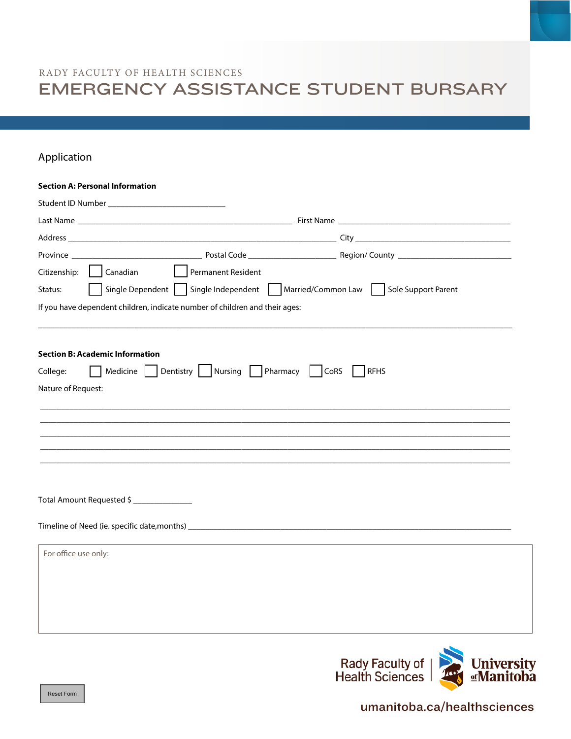# RADY FACULTY OF HEALTH SCIENCES EMERGENCY ASSISTANCE STUDENT BURSARY

### Application

|                      | <b>Section A: Personal Information</b>                                           |                     |  |  |  |  |
|----------------------|----------------------------------------------------------------------------------|---------------------|--|--|--|--|
|                      |                                                                                  |                     |  |  |  |  |
|                      |                                                                                  |                     |  |  |  |  |
|                      |                                                                                  |                     |  |  |  |  |
|                      |                                                                                  |                     |  |  |  |  |
| Citizenship:         | $\vert$ $\vert$ Canadian<br>  Permanent Resident                                 |                     |  |  |  |  |
| Status:              | Single Dependent Single Independent Married/Common Law Sole Support Parent       |                     |  |  |  |  |
|                      | If you have dependent children, indicate number of children and their ages:      |                     |  |  |  |  |
|                      |                                                                                  |                     |  |  |  |  |
|                      | <b>Section B: Academic Information</b>                                           |                     |  |  |  |  |
| College:             | Medicine   Dentistry   Nursing   Pharmacy                                        | CoRS<br><b>RFHS</b> |  |  |  |  |
| Nature of Request:   |                                                                                  |                     |  |  |  |  |
|                      |                                                                                  |                     |  |  |  |  |
|                      |                                                                                  |                     |  |  |  |  |
|                      |                                                                                  |                     |  |  |  |  |
|                      |                                                                                  |                     |  |  |  |  |
|                      |                                                                                  |                     |  |  |  |  |
|                      |                                                                                  |                     |  |  |  |  |
|                      | Total Amount Requested \$                                                        |                     |  |  |  |  |
|                      |                                                                                  |                     |  |  |  |  |
|                      | Timeline of Need (ie. specific date, months) ___________________________________ |                     |  |  |  |  |
| For office use only: |                                                                                  |                     |  |  |  |  |
|                      |                                                                                  |                     |  |  |  |  |
|                      |                                                                                  |                     |  |  |  |  |
|                      |                                                                                  |                     |  |  |  |  |
|                      |                                                                                  |                     |  |  |  |  |
|                      |                                                                                  |                     |  |  |  |  |



umanitoba.ca/healthsciences

Reset Form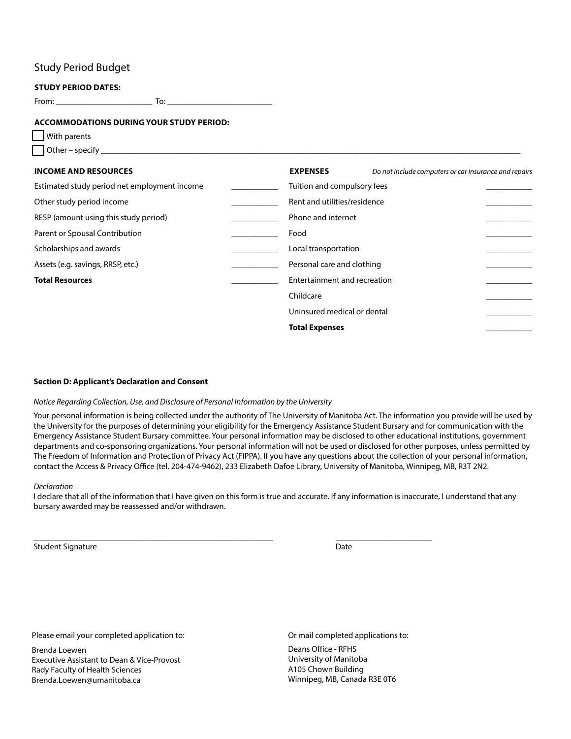### Study Period Budget

#### **STUDY PERIOD DATES:**

From: \_\_\_\_\_\_\_\_\_\_\_\_\_\_\_\_\_\_\_\_\_\_\_ To: \_\_\_\_\_\_\_\_\_\_\_\_\_\_\_\_\_\_\_\_\_\_\_\_\_

#### **ACCOMMODATIONS DURING YOUR STUDY PERIOD:**

 With parents Other – specify \_\_\_\_\_\_\_\_\_\_\_\_\_\_\_\_\_\_\_\_\_\_\_\_\_\_\_\_\_\_\_\_\_\_\_\_\_\_\_\_\_\_\_\_\_\_\_\_\_\_\_\_\_\_\_\_\_\_\_\_\_\_\_\_\_\_\_\_\_\_\_\_\_\_\_\_\_\_\_\_\_\_\_\_\_\_\_\_\_\_\_\_\_\_\_\_\_\_\_\_

| <b>INCOME AND RESOURCES</b>                  |  | <b>EXPENSES</b>              | Do not include computers or car insurance and repairs |
|----------------------------------------------|--|------------------------------|-------------------------------------------------------|
| Estimated study period net employment income |  | Tuition and compulsory fees  |                                                       |
| Other study period income                    |  | Rent and utilities/residence |                                                       |
| RESP (amount using this study period)        |  | Phone and internet           |                                                       |
| Parent or Spousal Contribution               |  | Food                         |                                                       |
| Scholarships and awards                      |  | Local transportation         |                                                       |
| Assets (e.g. savings, RRSP, etc.)            |  | Personal care and clothing   |                                                       |
| <b>Total Resources</b>                       |  | Entertainment and recreation |                                                       |
|                                              |  | Childcare                    |                                                       |
|                                              |  | Uninsured medical or dental  |                                                       |
|                                              |  | <b>Total Expenses</b>        |                                                       |

#### **Section D: Applicant's Declaration and Consent**

#### *Notice Regarding Collection, Use, and Disclosure of Personal Information by the University*

Your personal information is being collected under the authority of The University of Manitoba Act. The information you provide will be used by the University for the purposes of determining your eligibility for the Emergency Assistance Student Bursary and for communication with the Emergency Assistance Student Bursary committee. Your personal information may be disclosed to other educational institutions, government departments and co-sponsoring organizations. Your personal information will not be used or disclosed for other purposes, unless permitted by The Freedom of Information and Protection of Privacy Act (FIPPA). If you have any questions about the collection of your personal information, contact the Access & Privacy Office (tel. 204-474-9462), 233 Elizabeth Dafoe Library, University of Manitoba, Winnipeg, MB, R3T 2N2.

#### *Declaration*

I declare that all of the information that I have given on this form is true and accurate. If any information is inaccurate, I understand that any bursary awarded may be reassessed and/or withdrawn.

\_\_\_\_\_\_\_\_\_\_\_\_\_\_\_\_\_\_\_\_\_\_\_\_\_\_\_\_\_\_\_\_\_\_\_\_\_\_\_\_\_\_\_\_\_\_\_\_\_\_\_\_\_\_\_\_\_ \_\_\_\_\_\_\_\_\_\_\_\_\_\_\_\_\_\_\_\_\_\_\_

Student Signature Date and Student Signature Date and Student Signature Date and Date Date and Date Date and D

Please email your completed application to:

Brenda Loewen Executive Assistant to Dean & Vice-Provost Rady Faculty of Health Sciences Brenda.Loewen@umanitoba.ca

Or mail completed applications to: Deans Office - RFHS University of Manitoba A105 Chown Building Winnipeg, MB, Canada R3E 0T6